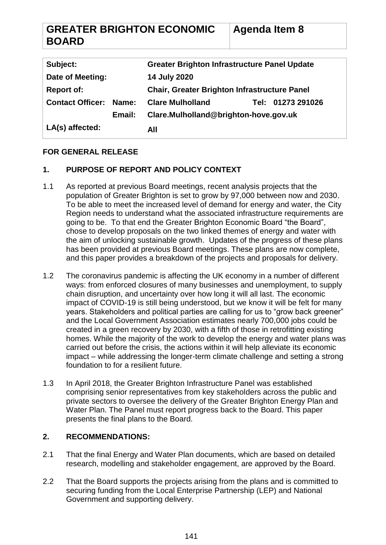| <b>GREATER BRIGHTON ECONOMIC</b> | <b>Agenda Item 8</b> |
|----------------------------------|----------------------|
| <b>BOARD</b>                     |                      |

| Subject:                |        | <b>Greater Brighton Infrastructure Panel Update</b> |                   |
|-------------------------|--------|-----------------------------------------------------|-------------------|
| Date of Meeting:        |        | 14 July 2020                                        |                   |
| <b>Report of:</b>       |        | <b>Chair, Greater Brighton Infrastructure Panel</b> |                   |
| <b>Contact Officer:</b> | Name:  | <b>Clare Mulholland</b>                             | Tel: 01273 291026 |
|                         | Email: | Clare.Mulholland@brighton-hove.gov.uk               |                   |
| LA(s) affected:         |        | All                                                 |                   |

# **FOR GENERAL RELEASE**

# **1. PURPOSE OF REPORT AND POLICY CONTEXT**

- 1.1 As reported at previous Board meetings, recent analysis projects that the population of Greater Brighton is set to grow by 97,000 between now and 2030. To be able to meet the increased level of demand for energy and water, the City Region needs to understand what the associated infrastructure requirements are going to be. To that end the Greater Brighton Economic Board "the Board", chose to develop proposals on the two linked themes of energy and water with the aim of unlocking sustainable growth. Updates of the progress of these plans has been provided at previous Board meetings. These plans are now complete, and this paper provides a breakdown of the projects and proposals for delivery.
- 1.2 The coronavirus pandemic is affecting the UK economy in a number of different ways: from enforced closures of many businesses and unemployment, to supply chain disruption, and uncertainty over how long it will all last. The economic impact of COVID-19 is still being understood, but we know it will be felt for many years. Stakeholders and political parties are calling for us to "grow back greener" and the Local Government Association estimates nearly 700,000 jobs could be created in a green recovery by 2030, with a fifth of those in retrofitting existing homes. While the majority of the work to develop the energy and water plans was carried out before the crisis, the actions within it will help alleviate its economic impact – while addressing the longer-term climate challenge and setting a strong foundation to for a resilient future.
- 1.3 In April 2018, the Greater Brighton Infrastructure Panel was established comprising senior representatives from key stakeholders across the public and private sectors to oversee the delivery of the Greater Brighton Energy Plan and Water Plan. The Panel must report progress back to the Board. This paper presents the final plans to the Board.

# **2. RECOMMENDATIONS:**

- 2.1 That the final Energy and Water Plan documents, which are based on detailed research, modelling and stakeholder engagement, are approved by the Board.
- 2.2 That the Board supports the projects arising from the plans and is committed to securing funding from the Local Enterprise Partnership (LEP) and National Government and supporting delivery.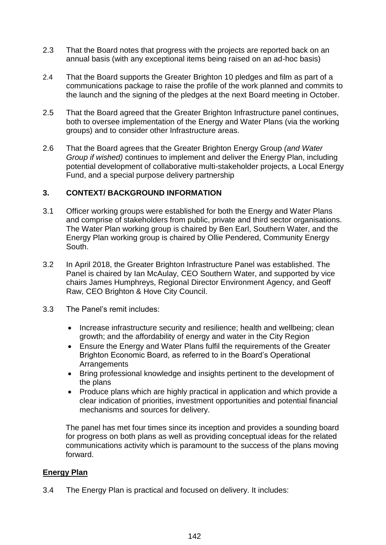- 2.3 That the Board notes that progress with the projects are reported back on an annual basis (with any exceptional items being raised on an ad-hoc basis)
- 2.4 That the Board supports the Greater Brighton 10 pledges and film as part of a communications package to raise the profile of the work planned and commits to the launch and the signing of the pledges at the next Board meeting in October.
- 2.5 That the Board agreed that the Greater Brighton Infrastructure panel continues, both to oversee implementation of the Energy and Water Plans (via the working groups) and to consider other Infrastructure areas.
- 2.6 That the Board agrees that the Greater Brighton Energy Group *(and Water Group if wished)* continues to implement and deliver the Energy Plan, including potential development of collaborative multi-stakeholder projects, a Local Energy Fund, and a special purpose delivery partnership

#### **3. CONTEXT/ BACKGROUND INFORMATION**

- 3.1 Officer working groups were established for both the Energy and Water Plans and comprise of stakeholders from public, private and third sector organisations. The Water Plan working group is chaired by Ben Earl, Southern Water, and the Energy Plan working group is chaired by Ollie Pendered, Community Energy South.
- 3.2 In April 2018, the Greater Brighton Infrastructure Panel was established. The Panel is chaired by Ian McAulay, CEO Southern Water, and supported by vice chairs James Humphreys, Regional Director Environment Agency, and Geoff Raw, CEO Brighton & Hove City Council.
- 3.3 The Panel's remit includes:
	- Increase infrastructure security and resilience; health and wellbeing; clean growth; and the affordability of energy and water in the City Region
	- Ensure the Energy and Water Plans fulfil the requirements of the Greater Brighton Economic Board, as referred to in the Board's Operational **Arrangements**
	- Bring professional knowledge and insights pertinent to the development of the plans
	- Produce plans which are highly practical in application and which provide a clear indication of priorities, investment opportunities and potential financial mechanisms and sources for delivery.

The panel has met four times since its inception and provides a sounding board for progress on both plans as well as providing conceptual ideas for the related communications activity which is paramount to the success of the plans moving forward.

#### **Energy Plan**

3.4 The Energy Plan is practical and focused on delivery. It includes: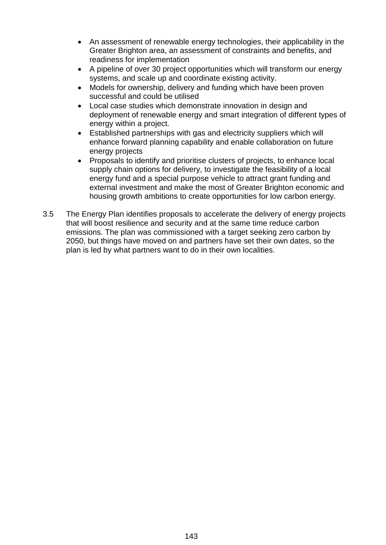- An assessment of renewable energy technologies, their applicability in the Greater Brighton area, an assessment of constraints and benefits, and readiness for implementation
- A pipeline of over 30 project opportunities which will transform our energy systems, and scale up and coordinate existing activity.
- Models for ownership, delivery and funding which have been proven successful and could be utilised
- Local case studies which demonstrate innovation in design and deployment of renewable energy and smart integration of different types of energy within a project.
- Established partnerships with gas and electricity suppliers which will enhance forward planning capability and enable collaboration on future energy projects
- Proposals to identify and prioritise clusters of projects, to enhance local supply chain options for delivery, to investigate the feasibility of a local energy fund and a special purpose vehicle to attract grant funding and external investment and make the most of Greater Brighton economic and housing growth ambitions to create opportunities for low carbon energy.
- 3.5 The Energy Plan identifies proposals to accelerate the delivery of energy projects that will boost resilience and security and at the same time reduce carbon emissions. The plan was commissioned with a target seeking zero carbon by 2050, but things have moved on and partners have set their own dates, so the plan is led by what partners want to do in their own localities.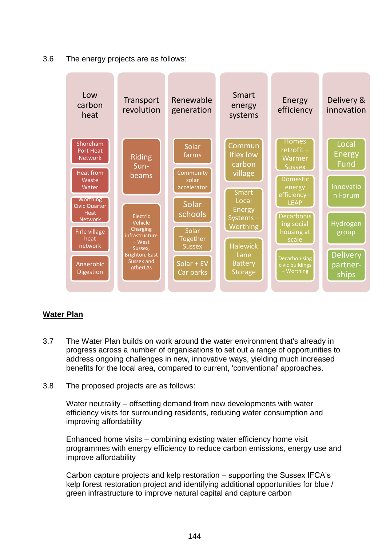3.6 The energy projects are as follows:



# **Water Plan**

- 3.7 The Water Plan builds on work around the water environment that's already in progress across a number of organisations to set out a range of opportunities to address ongoing challenges in new, innovative ways, yielding much increased benefits for the local area, compared to current, 'conventional' approaches.
- 3.8 The proposed projects are as follows:

Water neutrality – offsetting demand from new developments with water efficiency visits for surrounding residents, reducing water consumption and improving affordability

Enhanced home visits – combining existing water efficiency home visit programmes with energy efficiency to reduce carbon emissions, energy use and improve affordability

Carbon capture projects and kelp restoration – supporting the Sussex IFCA's kelp forest restoration project and identifying additional opportunities for blue / green infrastructure to improve natural capital and capture carbon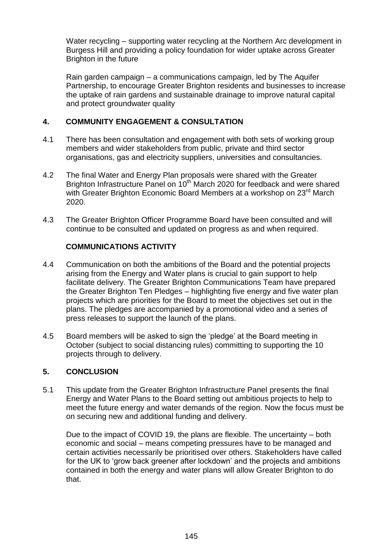Water recycling – supporting water recycling at the Northern Arc development in Burgess Hill and providing a policy foundation for wider uptake across Greater Brighton in the future

Rain garden campaign – a communications campaign, led by The Aquifer Partnership, to encourage Greater Brighton residents and businesses to increase the uptake of rain gardens and sustainable drainage to improve natural capital and protect groundwater quality

#### **4. COMMUNITY ENGAGEMENT & CONSULTATION**

- 4.1 There has been consultation and engagement with both sets of working group members and wider stakeholders from public, private and third sector organisations, gas and electricity suppliers, universities and consultancies.
- 4.2 The final Water and Energy Plan proposals were shared with the Greater Brighton Infrastructure Panel on 10<sup>th</sup> March 2020 for feedback and were shared with Greater Brighton Economic Board Members at a workshop on 23<sup>rd</sup> March 2020.
- 4.3 The Greater Brighton Officer Programme Board have been consulted and will continue to be consulted and updated on progress as and when required.

# **COMMUNICATIONS ACTIVITY**

- 4.4 Communication on both the ambitions of the Board and the potential projects arising from the Energy and Water plans is crucial to gain support to help facilitate delivery. The Greater Brighton Communications Team have prepared the Greater Brighton Ten Pledges – highlighting five energy and five water plan projects which are priorities for the Board to meet the objectives set out in the plans. The pledges are accompanied by a promotional video and a series of press releases to support the launch of the plans.
- 4.5 Board members will be asked to sign the 'pledge' at the Board meeting in October (subject to social distancing rules) committing to supporting the 10 projects through to delivery.

# **5. CONCLUSION**

5.1 This update from the Greater Brighton Infrastructure Panel presents the final Energy and Water Plans to the Board setting out ambitious projects to help to meet the future energy and water demands of the region. Now the focus must be on securing new and additional funding and delivery.

Due to the impact of COVID 19, the plans are flexible. The uncertainty – both economic and social – means competing pressures have to be managed and certain activities necessarily be prioritised over others. Stakeholders have called for the UK to 'grow back greener after lockdown' and the projects and ambitions contained in both the energy and water plans will allow Greater Brighton to do that.